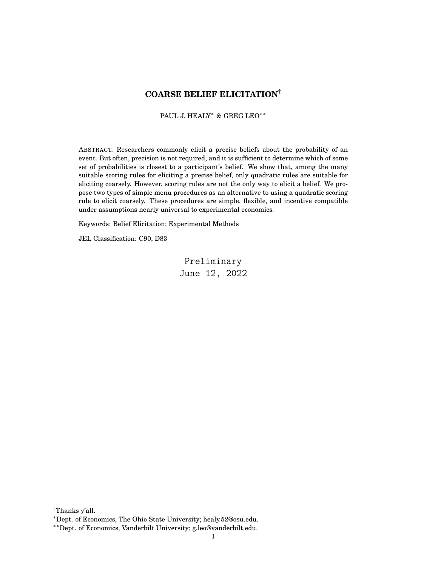# **COARSE BELIEF ELICITATION**†

PAUL J. HEALY<sup>\*</sup> & GREG LEO<sup>\*\*</sup>

ABSTRACT. Researchers commonly elicit a precise beliefs about the probability of an event. But often, precision is not required, and it is sufficient to determine which of some set of probabilities is closest to a participant's belief. We show that, among the many suitable scoring rules for eliciting a precise belief, only quadratic rules are suitable for eliciting coarsely. However, scoring rules are not the only way to elicit a belief. We propose two types of simple menu procedures as an alternative to using a quadratic scoring rule to elicit coarsely. These procedures are simple, flexible, and incentive compatible under assumptions nearly universal to experimental economics.

Keywords: Belief Elicitation; Experimental Methods

JEL Classification: C90, D83

Preliminary June 12, 2022

<sup>†</sup>Thanks y'all.

<sup>∗</sup>Dept. of Economics, The Ohio State University; healy.52@osu.edu.

<sup>∗∗</sup>Dept. of Economics, Vanderbilt University; g.leo@vanderbilt.edu.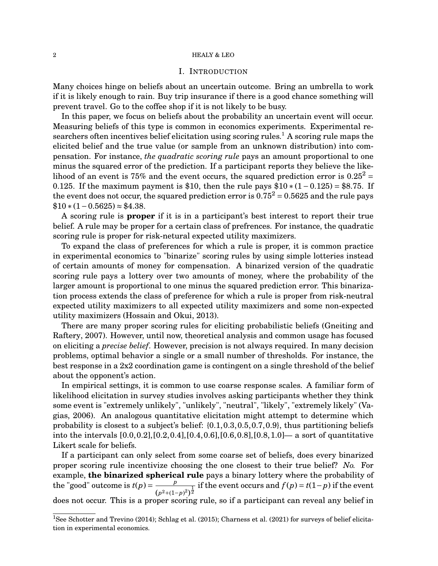### I. INTRODUCTION

Many choices hinge on beliefs about an uncertain outcome. Bring an umbrella to work if it is likely enough to rain. Buy trip insurance if there is a good chance something will prevent travel. Go to the coffee shop if it is not likely to be busy.

In this paper, we focus on beliefs about the probability an uncertain event will occur. Measuring beliefs of this type is common in economics experiments. Experimental researchers often incentives belief elicitation using scoring rules.<sup>1</sup> A scoring rule maps the elicited belief and the true value (or sample from an unknown distribution) into compensation. For instance, *the quadratic scoring rule* pays an amount proportional to one minus the squared error of the prediction. If a participant reports they believe the likelihood of an event is 75% and the event occurs, the squared prediction error is  $0.25^2$  = 0.125. If the maximum payment is \$10, then the rule pays  $$10*(1-0.125) = $8.75$ . If the event does not occur, the squared prediction error is  $0.75^2 = 0.5625$  and the rule pays  $$10*(1-0.5625) \approx $4.38.$ 

A scoring rule is **proper** if it is in a participant's best interest to report their true belief. A rule may be proper for a certain class of prefrences. For instance, the quadratic scoring rule is proper for risk-netural expected utility maximizers.

To expand the class of preferences for which a rule is proper, it is common practice in experimental economics to "binarize" scoring rules by using simple lotteries instead of certain amounts of money for compensation. A binarized version of the quadratic scoring rule pays a lottery over two amounts of money, where the probability of the larger amount is proportional to one minus the squared prediction error. This binarization process extends the class of preference for which a rule is proper from risk-neutral expected utility maximizers to all expected utility maximizers and some non-expected utility maximizers (Hossain and Okui, 2013).

There are many proper scoring rules for eliciting probabilistic beliefs (Gneiting and Raftery, 2007). However, until now, theoretical analysis and common usage has focused on eliciting a *precise belief*. However, precision is not always required. In many decision problems, optimal behavior a single or a small number of thresholds. For instance, the best response in a 2x2 coordination game is contingent on a single threshold of the belief about the opponent's action.

In empirical settings, it is common to use coarse response scales. A familiar form of likelihood elicitation in survey studies involves asking participants whether they think some event is "extremely unlikely", "unlikely", "neutral", "likely", "extremely likely" (Vagias, 2006). An analogous quantitative elicitation might attempt to determine which probability is closest to a subject's belief: {0.1,0.3,0.5,0.7,0.9}, thus partitioning beliefs into the intervals [0.0,0.2],[0.2,0.4],[0.4,0.6],[0.6,0.8],[0.8,1.0]— a sort of quantitative Likert scale for beliefs.

If a participant can only select from some coarse set of beliefs, does every binarized proper scoring rule incentivize choosing the one closest to their true belief? *No.* For example, **the binarized spherical rule** pays a binary lottery where the probability of the "good" outcome is  $t(p) = \frac{p}{p}$  $\frac{p}{(p^2+(1-p)^2)^{\frac{1}{2}}}$  if the event occurs and  $f(p)=t(1-p)$  if the event does not occur. This is a proper scoring rule, so if a participant can reveal any belief in

<sup>&</sup>lt;sup>1</sup>See Schotter and Trevino (2014); Schlag et al. (2015); Charness et al. (2021) for surveys of belief elicitation in experimental economics.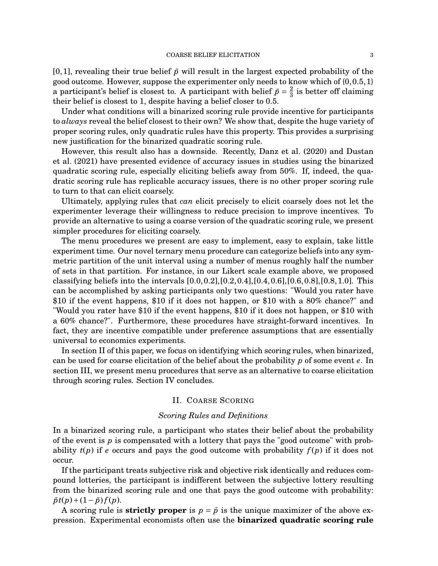$[0,1]$ , revealing their true belief  $\tilde{p}$  will result in the largest expected probability of the good outcome. However, suppose the experimenter only needs to know which of {0,0.5,1} a participant's belief is closest to. A participant with belief  $\tilde{p} = \frac{2}{3}$  $\frac{2}{3}$  is better off claiming their belief is closest to 1, despite having a belief closer to 0.5.

Under what conditions will a binarized scoring rule provide incentive for participants to *always* reveal the belief closest to their own? We show that, despite the huge variety of proper scoring rules, only quadratic rules have this property. This provides a surprising new justification for the binarized quadratic scoring rule.

However, this result also has a downside. Recently, Danz et al. (2020) and Dustan et al. (2021) have presented evidence of accuracy issues in studies using the binarized quadratic scoring rule, especially eliciting beliefs away from 50%. If, indeed, the quadratic scoring rule has replicable accuracy issues, there is no other proper scoring rule to turn to that can elicit coarsely.

Ultimately, applying rules that *can* elicit precisely to elicit coarsely does not let the experimenter leverage their willingness to reduce precision to improve incentives. To provide an alternative to using a coarse version of the quadratic scoring rule, we present simpler procedures for eliciting coarsely.

The menu procedures we present are easy to implement, easy to explain, take little experiment time. Our novel ternary menu procedure can categorize beliefs into any symmetric partition of the unit interval using a number of menus roughly half the number of sets in that partition. For instance, in our Likert scale example above, we proposed classifying beliefs into the intervals [0.0,0.2],[0.2,0.4],[0.4,0.6],[0.6,0.8],[0.8,1.0]. This can be accomplished by asking participants only two questions: "Would you rater have \$10 if the event happens, \$10 if it does not happen, or \$10 with a 80% chance?" and "Would you rater have \$10 if the event happens, \$10 if it does not happen, or \$10 with a 60% chance?". Furthermore, these procedures have straight-forward incentives. In fact, they are incentive compatible under preference assumptions that are essentially universal to economics experiments.

In section II of this paper, we focus on identifying which scoring rules, when binarized, can be used for coarse elicitation of the belief about the probability *p* of some event *e*. In section III, we present menu procedures that serve as an alternative to coarse elicitation through scoring rules. Section IV concludes.

# II. COARSE SCORING

### *Scoring Rules and Definitions*

In a binarized scoring rule, a participant who states their belief about the probability of the event is *p* is compensated with a lottery that pays the "good outcome" with probability  $t(p)$  if *e* occurs and pays the good outcome with probability  $f(p)$  if it does not occur.

If the participant treats subjective risk and objective risk identically and reduces compound lotteries, the participant is indifferent between the subjective lottery resulting from the binarized scoring rule and one that pays the good outcome with probability:  $\tilde{p}t(p)+(1-\tilde{p})f(p).$ 

A scoring rule is **strictly proper** is  $p = \tilde{p}$  is the unique maximizer of the above expression. Experimental economists often use the **binarized quadratic scoring rule**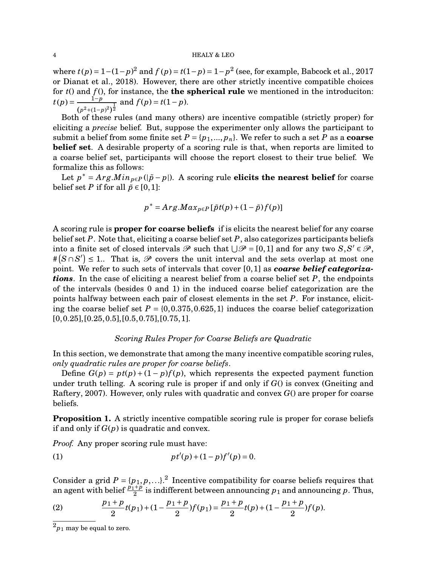where *t*(*p*) = 1−(1−*p*)<sup>2</sup> and *f*(*p*) = *t*(1−*p*) = 1−*p*<sup>2</sup> (see, for example, Babcock et al., 2017 or Dianat et al., 2018). However, there are other strictly incentive compatible choices for *t*() and *f* (), for instance, the **the spherical rule** we mentioned in the introduciton:  $t(p) = \frac{1-p}{p}$  $\frac{1-p}{(p^2+(1-p)^2)^{\frac{1}{2}}}$  and  $f(p) = t(1-p)$ .

Both of these rules (and many others) are incentive compatible (strictly proper) for eliciting a *precise* belief. But, suppose the experimenter only allows the participant to submit a belief from some finite set  $P = \{p_1, ..., p_n\}$ . We refer to such a set P as a **coarse belief set**. A desirable property of a scoring rule is that, when reports are limited to a coarse belief set, participants will choose the report closest to their true belief. We formalize this as follows:

Let  $p^* = Arg.Min_{p \in P}(|p-p|)$ . A scoring rule **elicits the nearest belief** for coarse belief set *P* if for all  $\tilde{p} \in [0,1]$ :

$$
p^* = Arg.Max_{p\in P}[\tilde{p}t(p) + (1-\tilde{p})f(p)]
$$

A scoring rule is **proper for coarse beliefs** if is elicits the nearest belief for any coarse belief set *P*. Note that, eliciting a coarse belief set *P*, also categorizes participants beliefs into a finite set of closed intervals  $\mathscr P$  such that  $\bigcup \mathscr P = [0,1]$  and for any two  $S, S' \in \mathscr P$ , # $(S \cap S')$  ≤ 1.. That is,  $\mathcal P$  covers the unit interval and the sets overlap at most one point. We refer to such sets of intervals that cover [0,1] as *coarse belief categorizations*. In the case of eliciting a nearest belief from a coarse belief set *P*, the endpoints of the intervals (besides 0 and 1) in the induced coarse belief categorization are the points halfway between each pair of closest elements in the set *P*. For instance, eliciting the coarse belief set  $P = \{0, 0.375, 0.625, 1\}$  induces the coarse belief categorization  $[0,0.25], [0.25,0.5], [0.5,0.75], [0.75,1].$ 

#### *Scoring Rules Proper for Coarse Beliefs are Quadratic*

In this section, we demonstrate that among the many incentive compatible scoring rules, *only quadratic rules are proper for coarse beliefs*.

Define  $G(p) = pt(p) + (1-p)f(p)$ , which represents the expected payment function under truth telling. A scoring rule is proper if and only if *G*() is convex (Gneiting and Raftery, 2007). However, only rules with quadratic and convex *G*() are proper for coarse beliefs.

**Proposition 1.** A strictly incentive compatible scoring rule is proper for corase beliefs if and only if  $G(p)$  is quadratic and convex.

*Proof.* Any proper scoring rule must have:

(1) 
$$
pt'(p) + (1-p)f'(p) = 0.
$$

Consider a grid  $P = \{p_1, p, \ldots\}^2$  Incentive compatibility for coarse beliefs requires that an agent with belief  $\frac{p_1+p_2}{2}$  is indifferent between announcing  $p_1$  and announcing  $p$ . Thus,

(2) 
$$
\frac{p_1+p}{2}t(p_1)+(1-\frac{p_1+p}{2})f(p_1)=\frac{p_1+p}{2}t(p)+(1-\frac{p_1+p}{2})f(p).
$$

 $^{2}p_{1}$  may be equal to zero.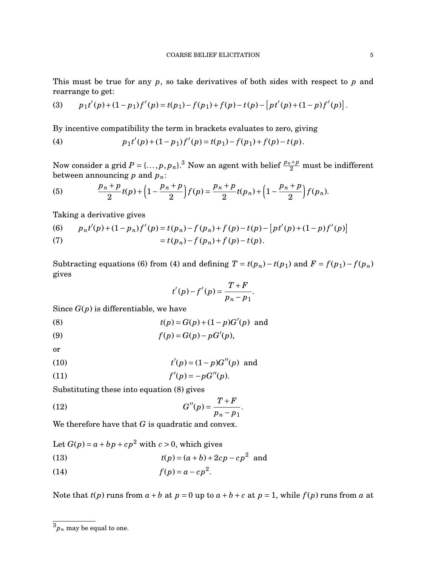This must be true for any *p*, so take derivatives of both sides with respect to *p* and rearrange to get:

(3) 
$$
p_1t'(p) + (1-p_1)f'(p) = t(p_1) - f(p_1) + f(p) - t(p) - [pt'(p) + (1-p)f'(p)].
$$

By incentive compatibility the term in brackets evaluates to zero, giving

(4) 
$$
p_1t'(p) + (1-p_1)f'(p) = t(p_1) - f(p_1) + f(p) - t(p).
$$

Now consider a grid  $P = \{ \ldots, p, p_n \}.$  Now an agent with belief  $\frac{p_n + p}{2}$  must be indifferent between announcing *p* and *pn*:

(5) 
$$
\frac{p_n+p}{2}t(p)+\left(1-\frac{p_n+p}{2}\right)f(p)=\frac{p_n+p}{2}t(p_n)+\left(1-\frac{p_n+p}{2}\right)f(p_n).
$$

Taking a derivative gives

(6) 
$$
p_n t'(p) + (1 - p_n) f'(p) = t(p_n) - f(p_n) + f(p) - t(p) - [pt'(p) + (1 - p)f'(p)]
$$

$$
= t(p_n) - f(p_n) + f(p) - t(p).
$$

Subtracting equations (6) from (4) and defining  $T = t(p_n) - t(p_1)$  and  $F = f(p_1) - f(p_n)$ gives

$$
t'(p)-f'(p)=\frac{T+F}{p_n-p_1}.
$$

Since *G*(*p*) is differentiable, we have

(8) 
$$
t(p) = G(p) + (1-p)G'(p) \text{ and}
$$

$$
(9) \hspace{3.1em} f(p) = G(p) - pG'(p),
$$

or

(10) 
$$
t'(p) = (1-p)G''(p) \text{ and}
$$

$$
(11) \t\t f'(p) = -pG''(p).
$$

Substituting these into equation (8) gives

(12) 
$$
G''(p) = \frac{T+F}{p_n - p_1}.
$$

We therefore have that *G* is quadratic and convex.

Let  $G(p) = a + bp + cp^2$  with  $c > 0$ , which gives

(13) 
$$
t(p) = (a+b) + 2cp - cp^2 \text{ and}
$$

$$
(14) \t\t f(p) = a - cp^2.
$$

Note that  $t(p)$  runs from  $a + b$  at  $p = 0$  up to  $a + b + c$  at  $p = 1$ , while  $f(p)$  runs from  $a$  at

 $3p_n$  may be equal to one.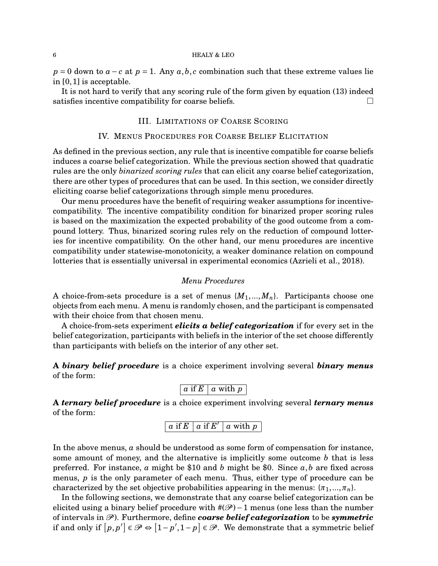$p = 0$  down to  $a - c$  at  $p = 1$ . Any  $a, b, c$  combination such that these extreme values lie in [0,1] is acceptable.

It is not hard to verify that any scoring rule of the form given by equation (13) indeed satisfies incentive compatibility for coarse beliefs.  $\Box$ 

### III. LIMITATIONS OF COARSE SCORING

#### IV. MENUS PROCEDURES FOR COARSE BELIEF ELICITATION

As defined in the previous section, any rule that is incentive compatible for coarse beliefs induces a coarse belief categorization. While the previous section showed that quadratic rules are the only *binarized scoring rules* that can elicit any coarse belief categorization, there are other types of procedures that can be used. In this section, we consider directly eliciting coarse belief categorizations through simple menu procedures.

Our menu procedures have the benefit of requiring weaker assumptions for incentivecompatibility. The incentive compatibility condition for binarized proper scoring rules is based on the maximization the expected probability of the good outcome from a compound lottery. Thus, binarized scoring rules rely on the reduction of compound lotteries for incentive compatibility. On the other hand, our menu procedures are incentive compatibility under statewise-monotonicity, a weaker dominance relation on compound lotteries that is essentially universal in experimental economics (Azrieli et al., 2018).

# *Menu Procedures*

A choice-from-sets procedure is a set of menus  $\{M_1, ..., M_n\}$ . Participants choose one objects from each menu. A menu is randomly chosen, and the participant is compensated with their choice from that chosen menu.

A choice-from-sets experiment *elicits a belief categorization* if for every set in the belief categorization, participants with beliefs in the interior of the set choose differently than participants with beliefs on the interior of any other set.

**A** *binary belief procedure* is a choice experiment involving several *binary menus* of the form:

```
a if E \mid a with p \mid a
```
**A** *ternary belief procedure* is a choice experiment involving several *ternary menus* of the form:

 $\boxed{a \text{ if } E \mid a \text{ if } E' \mid a \text{ with } p}$ 

In the above menus, *a* should be understood as some form of compensation for instance, some amount of money, and the alternative is implicitly some outcome *b* that is less preferred. For instance,  $\alpha$  might be \$10 and  $\delta$  might be \$0. Since  $\alpha$ , $\delta$  are fixed across menus, *p* is the only parameter of each menu. Thus, either type of procedure can be characterized by the set objective probabilities appearing in the menus:  $\{\pi_1, ..., \pi_n\}$ .

In the following sections, we demonstrate that any coarse belief categorization can be elicited using a binary belief procedure with  $\#(\mathcal{P})-1$  menus (one less than the number of intervals in P ). Furthermore, define *coarse belief categorization* to be *symmetric* if and only if  $[p, p'] \in \mathcal{P} \Leftrightarrow [1-p', 1-p] \in \mathcal{P}$ . We demonstrate that a symmetric belief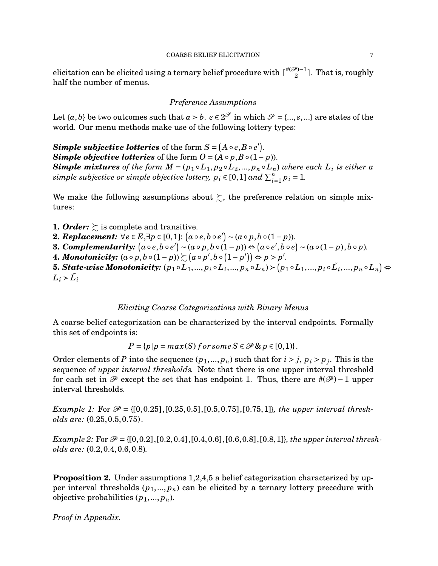elicitation can be elicited using a ternary belief procedure with  $\lceil \frac{\#(\mathscr{P}) - 1}{2} \rceil$  $\frac{\mathcal{P}}{2}$ ]. That is, roughly half the number of menus.

# *Preference Assumptions*

Let  $\{a,b\}$  be two outcomes such that  $a \succ b$ .  $e \in 2^\mathscr{S}$  in which  $\mathscr{S} = \{...,s,...\}$  are states of the world. Our menu methods make use of the following lottery types:

Simple subjective lotteries of the form  $S = [A \circ e, B \circ e']$ . *Simple objective lotteries* of the form  $O = (A \circ p, B \circ (1-p))$ . *Simple mixtures* of the form  $M = (p_1 \circ L_1, p_2 \circ L_2, ..., p_n \circ L_n)$  where each  $L_i$  *is either a simple subjective or simple objective lottery,*  $p_i \in [0,1]$  and  $\sum_{i=1}^{n} p_i = 1$ .

We make the following assumptions about  $\succsim$ , the preference relation on simple mixtures:

**1.** *Order:*  $\succsim$  is complete and transitive.

- **2.** *Replacement:*  $\forall e \in E, \exists p \in [0,1]: (a \circ e, b \circ e') \sim (a \circ p, b \circ (1-p)).$
- **3. Complementarity:**  $(a \circ e, b \circ e') \sim (a \circ p, b \circ (1-p)) \Leftrightarrow (a \circ e', b \circ e) \sim (a \circ (1-p), b \circ p)$ .
- **4.** *Monotonicity:*  $(a \circ p, b \circ (1-p)) \succsim (a \circ p', b \circ (1-p')) \Leftrightarrow p > p'.$

5. State-wise Monotonicity:  $(p_1\circ L_1,...,p_i\circ L_i,...,p_n\circ L_n)\!\succ\!\big(p_1\circ L_1,...,p_i\circ \tilde{L_i},...,p_n\circ L_n\big)\Leftrightarrow$  $L_i > L_i$ 

# *Eliciting Coarse Categorizations with Binary Menus*

A coarse belief categorization can be characterized by the interval endpoints. Formally this set of endpoints is:

$$
P = \{p | p = max(S) \text{ for some } S \in \mathcal{P} \& p \in [0,1) \}.
$$

Order elements of *P* into the sequence  $(p_1, ..., p_n)$  such that for  $i > j$ ,  $p_i > p_j$ . This is the sequence of *upper interval thresholds.* Note that there is one upper interval threshold for each set in  $\mathscr P$  except the set that has endpoint 1. Thus, there are  $\#(\mathscr P) - 1$  upper interval thresholds.

*Example 1:* For  $\mathcal{P} = \{[0, 0.25], [0.25, 0.5], [0.5, 0.75], [0.75, 1]\}$ *, the upper interval thresholds are:* (0.25,0.5,0.75).

*Example 2:* For  $\mathcal{P} = \{[0, 0.2], [0.2, 0.4], [0.4, 0.6], [0.6, 0.8], [0.8, 1]\}$ *, the upper interval thresholds are:* (0.2,0.4,0.6,0.8)*.*

**Proposition 2.** Under assumptions 1,2,4,5 a belief categorization characterized by upper interval thresholds  $(p_1,..., p_n)$  can be elicited by a ternary lottery precedure with objective probabilities  $(p_1, ..., p_n)$ .

*Proof in Appendix.*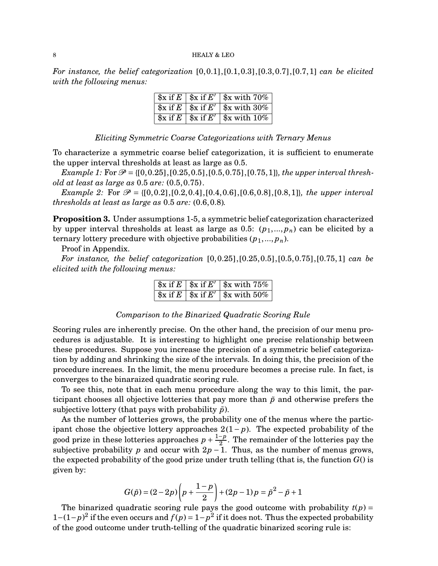*For instance, the belief categorization* [0,0.1],[0.1,0.3],[0.3,0.7],[0.7,1] *can be elicited with the following menus:*

|  | $\left[\frac{1}{2}x \text{ if } E \mid \frac{1}{2}x \text{ if } E' \mid \frac{1}{2}x \text{ with } 70\% \right]$ |
|--|------------------------------------------------------------------------------------------------------------------|
|  | $\left[\frac{1}{3}x\right]$ if E $\left[\frac{1}{3}x\right]$ if E' $\left[\frac{1}{3}x\right]$ with 30%          |
|  |                                                                                                                  |

*Eliciting Symmetric Coarse Categorizations with Ternary Menus*

To characterize a symmetric coarse belief categorization, it is sufficient to enumerate the upper interval thresholds at least as large as 0.5.

*Example 1:* For  $\mathcal{P} = \{[0, 0.25], [0.25, 0.5], [0.5, 0.75], [0.75, 1]\}$ *, the upper interval threshold at least as large as* 0.5 *are:* (0.5,0.75).

*Example 2:* For  $\mathcal{P} = \{[0, 0.2], [0.2, 0.4], [0.4, 0.6], [0.6, 0.8], [0.8, 1]\}$ *, the upper interval thresholds at least as large as* 0.5 *are:* (0.6,0.8)*.*

**Proposition 3.** Under assumptions 1-5, a symmetric belief categorization characterized by upper interval thresholds at least as large as 0.5:  $(p_1,..., p_n)$  can be elicited by a ternary lottery precedure with objective probabilities  $(p_1, ..., p_n)$ .

Proof in Appendix.

*For instance, the belief categorization* [0,0.25],[0.25,0.5],[0.5,0.75],[0.75,1] *can be elicited with the following menus:*

|  | $\frac{1}{2}$ sx if E' $\frac{1}{2}$ sx with 75%                                                                                                                                                                                                                                                                    |
|--|---------------------------------------------------------------------------------------------------------------------------------------------------------------------------------------------------------------------------------------------------------------------------------------------------------------------|
|  | $\frac{1}{2}$ $\frac{1}{2}$ $\frac{1}{2}$ $\frac{1}{2}$ $\frac{1}{2}$ $\frac{1}{2}$ $\frac{1}{2}$ $\frac{1}{2}$ $\frac{1}{2}$ $\frac{1}{2}$ $\frac{1}{2}$ $\frac{1}{2}$ $\frac{1}{2}$ $\frac{1}{2}$ $\frac{1}{2}$ $\frac{1}{2}$ $\frac{1}{2}$ $\frac{1}{2}$ $\frac{1}{2}$ $\frac{1}{2}$ $\frac{1}{2}$ $\frac{1}{2}$ |

# *Comparison to the Binarized Quadratic Scoring Rule*

Scoring rules are inherently precise. On the other hand, the precision of our menu procedures is adjustable. It is interesting to highlight one precise relationship between these procedures. Suppose you increase the precision of a symmetric belief categorization by adding and shrinking the size of the intervals. In doing this, the precision of the procedure increaes. In the limit, the menu procedure becomes a precise rule. In fact, is converges to the binaraized quadratic scoring rule.

To see this, note that in each menu procedure along the way to this limit, the participant chooses all objective lotteries that pay more than  $\tilde{p}$  and otherwise prefers the subjective lottery (that pays with probability  $\tilde{p}$ ).

As the number of lotteries grows, the probability one of the menus where the participant chose the objective lottery approaches 2(1− *p*). The expected probability of the good prize in these lotteries approaches  $p + \frac{1-p}{2}$  $\frac{-p}{2}$ . The remainder of the lotteries pay the subjective probability *p* and occur with  $2p - 1$ . Thus, as the number of menus grows, the expected probability of the good prize under truth telling (that is, the function  $G()$  is given by:

$$
G(\tilde{p}) = (2-2p)\left(p + \frac{1-p}{2}\right) + (2p-1)p = \tilde{p}^2 - \tilde{p} + 1
$$

The binarized quadratic scoring rule pays the good outcome with probability  $t(p)$  = 1– $(1-p)^2$  if the even occurs and  $f(p) = 1-p^2$  if it does not. Thus the expected probability of the good outcome under truth-telling of the quadratic binarized scoring rule is: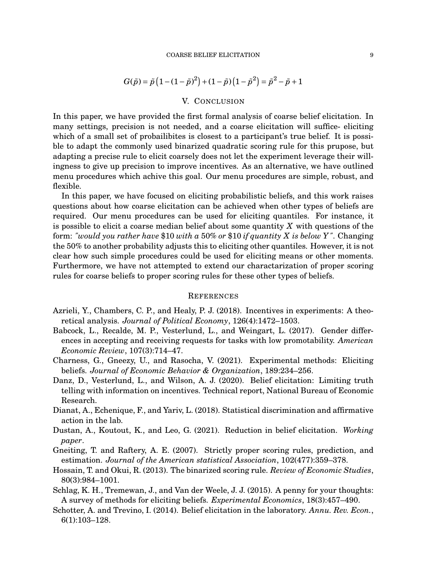$$
G(\tilde{p}) = \tilde{p} (1 - (1 - \tilde{p})^2) + (1 - \tilde{p}) (1 - \tilde{p}^2) = \tilde{p}^2 - \tilde{p} + 1
$$

### V. CONCLUSION

In this paper, we have provided the first formal analysis of coarse belief elicitation. In many settings, precision is not needed, and a coarse elicitation will suffice- eliciting which of a small set of probailibites is closest to a participant's true belief. It is possible to adapt the commonly used binarized quadratic scoring rule for this prupose, but adapting a precise rule to elicit coarsely does not let the experiment leverage their willingness to give up precision to improve incentives. As an alternative, we have outlined menu procedures which achive this goal. Our menu procedures are simple, robust, and flexible.

In this paper, we have focused on eliciting probabilistic beliefs, and this work raises questions about how coarse elicitation can be achieved when other types of beliefs are required. Our menu procedures can be used for eliciting quantiles. For instance, it is possible to elicit a coarse median belief about some quantity *X* with questions of the form: *"would you rather have* \$10 *with a* 50% *or* \$10 *if quantity X is below Y"*. Changing the 50% to another probability adjusts this to eliciting other quantiles. However, it is not clear how such simple procedures could be used for eliciting means or other moments. Furthermore, we have not attempted to extend our charactarization of proper scoring rules for coarse beliefs to proper scoring rules for these other types of beliefs.

#### **REFERENCES**

- Azrieli, Y., Chambers, C. P., and Healy, P. J. (2018). Incentives in experiments: A theoretical analysis. *Journal of Political Economy*, 126(4):1472–1503.
- Babcock, L., Recalde, M. P., Vesterlund, L., and Weingart, L. (2017). Gender differences in accepting and receiving requests for tasks with low promotability. *American Economic Review*, 107(3):714–47.
- Charness, G., Gneezy, U., and Rasocha, V. (2021). Experimental methods: Eliciting beliefs. *Journal of Economic Behavior & Organization*, 189:234–256.
- Danz, D., Vesterlund, L., and Wilson, A. J. (2020). Belief elicitation: Limiting truth telling with information on incentives. Technical report, National Bureau of Economic Research.
- Dianat, A., Echenique, F., and Yariv, L. (2018). Statistical discrimination and affirmative action in the lab.
- Dustan, A., Koutout, K., and Leo, G. (2021). Reduction in belief elicitation. *Working paper*.
- Gneiting, T. and Raftery, A. E. (2007). Strictly proper scoring rules, prediction, and estimation. *Journal of the American statistical Association*, 102(477):359–378.
- Hossain, T. and Okui, R. (2013). The binarized scoring rule. *Review of Economic Studies*, 80(3):984–1001.
- Schlag, K. H., Tremewan, J., and Van der Weele, J. J. (2015). A penny for your thoughts: A survey of methods for eliciting beliefs. *Experimental Economics*, 18(3):457–490.
- Schotter, A. and Trevino, I. (2014). Belief elicitation in the laboratory. *Annu. Rev. Econ.*, 6(1):103–128.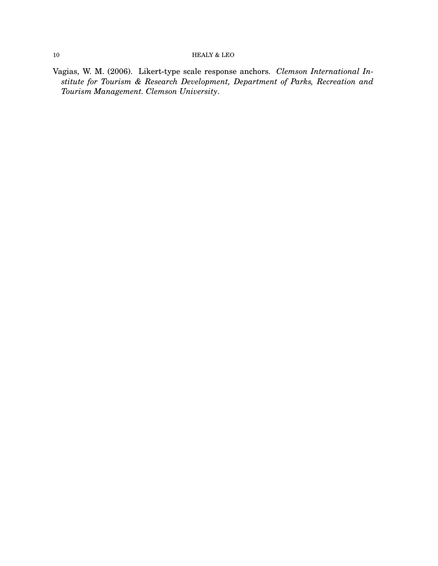## $10$   $\,$  HEALY & LEO  $\,$

Vagias, W. M. (2006). Likert-type scale response anchors. *Clemson International Institute for Tourism & Research Development, Department of Parks, Recreation and Tourism Management. Clemson University*.